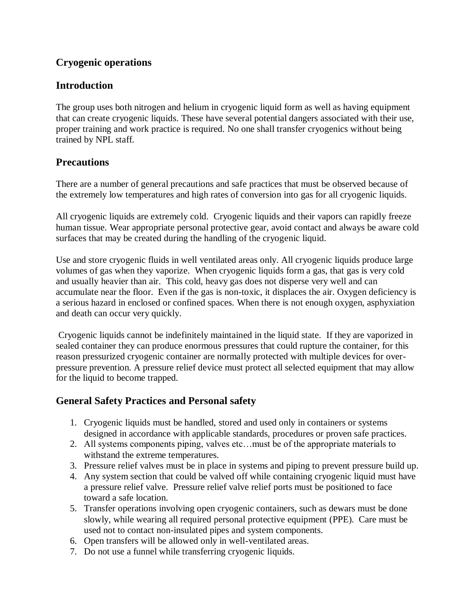# **Cryogenic operations**

### **Introduction**

The group uses both nitrogen and helium in cryogenic liquid form as well as having equipment that can create cryogenic liquids. These have several potential dangers associated with their use, proper training and work practice is required. No one shall transfer cryogenics without being trained by NPL staff.

### **Precautions**

There are a number of general precautions and safe practices that must be observed because of the extremely low temperatures and high rates of conversion into gas for all cryogenic liquids.

All cryogenic liquids are extremely cold. Cryogenic liquids and their vapors can rapidly freeze human tissue. Wear appropriate personal protective gear, avoid contact and always be aware cold surfaces that may be created during the handling of the cryogenic liquid.

Use and store cryogenic fluids in well ventilated areas only. All cryogenic liquids produce large volumes of gas when they vaporize. When cryogenic liquids form a gas, that gas is very cold and usually heavier than air. This cold, heavy gas does not disperse very well and can accumulate near the floor. Even if the gas is non-toxic, it displaces the air. Oxygen deficiency is a serious hazard in enclosed or confined spaces. When there is not enough oxygen, asphyxiation and death can occur very quickly.

Cryogenic liquids cannot be indefinitely maintained in the liquid state. If they are vaporized in sealed container they can produce enormous pressures that could rupture the container, for this reason pressurized cryogenic container are normally protected with multiple devices for overpressure prevention. A pressure relief device must protect all selected equipment that may allow for the liquid to become trapped.

# **General Safety Practices and Personal safety**

- 1. Cryogenic liquids must be handled, stored and used only in containers or systems designed in accordance with applicable standards, procedures or proven safe practices.
- 2. All systems components piping, valves etc…must be of the appropriate materials to withstand the extreme temperatures.
- 3. Pressure relief valves must be in place in systems and piping to prevent pressure build up.
- 4. Any system section that could be valved off while containing cryogenic liquid must have a pressure relief valve. Pressure relief valve relief ports must be positioned to face toward a safe location.
- 5. Transfer operations involving open cryogenic containers, such as dewars must be done slowly, while wearing all required personal protective equipment (PPE). Care must be used not to contact non-insulated pipes and system components.
- 6. Open transfers will be allowed only in well-ventilated areas.
- 7. Do not use a funnel while transferring cryogenic liquids.